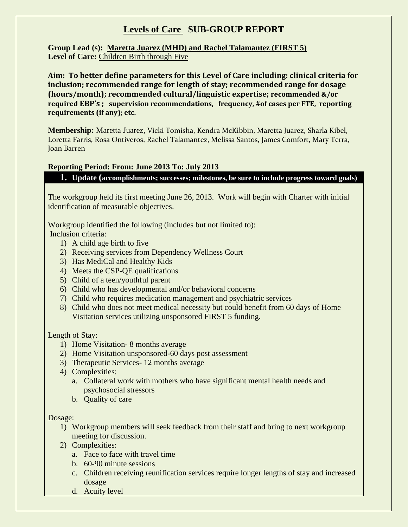## **Levels of Care SUB-GROUP REPORT**

**Group Lead (s): Maretta Juarez (MHD) and Rachel Talamantez (FIRST 5)** Level of Care: Children Birth through Five

**Aim: To better define parameters for this Level of Care including: clinical criteria for inclusion; recommended range for length of stay; recommended range for dosage (hours/month); recommended cultural/linguistic expertise; recommended &/or required EBP's ; supervision recommendations, frequency, #of cases per FTE, reporting requirements (if any); etc.** 

**Membership:** Maretta Juarez, Vicki Tomisha, Kendra McKibbin, Maretta Juarez, Sharla Kibel, Loretta Farris, Rosa Ontiveros, Rachel Talamantez, Melissa Santos, James Comfort, Mary Terra, Joan Barren

## **Reporting Period: From: June 2013 To: July 2013**

**1. Update (accomplishments; successes; milestones, be sure to include progress toward goals)**

The workgroup held its first meeting June 26, 2013. Work will begin with Charter with initial identification of measurable objectives.

Workgroup identified the following (includes but not limited to): Inclusion criteria:

- 1) A child age birth to five
- 2) Receiving services from Dependency Wellness Court
- 3) Has MediCal and Healthy Kids
- 4) Meets the CSP-QE qualifications
- 5) Child of a teen/youthful parent
- 6) Child who has developmental and/or behavioral concerns
- 7) Child who requires medication management and psychiatric services
- 8) Child who does not meet medical necessity but could benefit from 60 days of Home Visitation services utilizing unsponsored FIRST 5 funding.

## Length of Stay:

- 1) Home Visitation- 8 months average
- 2) Home Visitation unsponsored-60 days post assessment
- 3) Therapeutic Services- 12 months average
- 4) Complexities:
	- a. Collateral work with mothers who have significant mental health needs and psychosocial stressors
	- b. Quality of care

Dosage:

- 1) Workgroup members will seek feedback from their staff and bring to next workgroup meeting for discussion.
- 2) Complexities:
	- a. Face to face with travel time
	- b. 60-90 minute sessions
	- c. Children receiving reunification services require longer lengths of stay and increased dosage
	- d. Acuity level